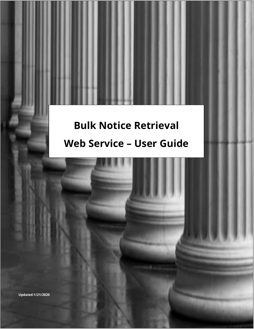# **Bulk Notice Retrieval Web Service – User Guide**

ATCSU 0 | P a g e a g e a g e a g e a g e a g e a g e a g e a g e a g e a g e a g e a g e a g e a g e a g e a

Bulk Notice Retrieval – Web Service January 21, 2020

**Updated:1/21/2020**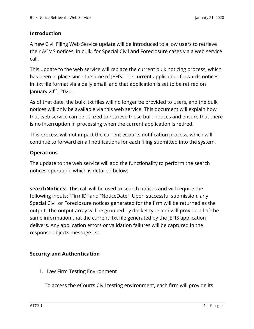### **Introduction**

A new Civil Filing Web Service update will be introduced to allow users to retrieve their ACMS notices, in bulk, for Special Civil and Foreclosure cases via a web service call.

This update to the web service will replace the current bulk noticing process, which has been in place since the time of JEFIS. The current application forwards notices in .txt file format via a daily email, and that application is set to be retired on January 24th, 2020.

As of that date, the bulk .txt files will no longer be provided to users, and the bulk notices will only be available via this web service. This document will explain how that web service can be utilized to retrieve those bulk notices and ensure that there is no interruption in processing when the current application is retired.

This process will not impact the current eCourts notification process, which will continue to forward email notifications for each filing submitted into the system.

### **Operations**

The update to the web service will add the functionality to perform the search notices operation, which is detailed below:

**searchNotices:** This call will be used to search notices and will require the following inputs: "FirmID" and "NoticeDate". Upon successful submission, any Special Civil or Foreclosure notices generated for the firm will be returned as the output. The output array will be grouped by docket type and will provide all of the same information that the current .txt file generated by the JEFIS application delivers. Any application errors or validation failures will be captured in the response objects message list.

## **Security and Authentication**

1. Law Firm Testing Environment

To access the eCourts Civil testing environment, each firm will provide its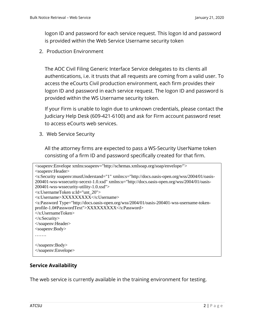logon ID and password for each service request. This logon Id and password is provided within the Web Service Username security token

2. Production Environment

The AOC Civil Filing Generic Interface Service delegates to its clients all authentications, i.e. it trusts that all requests are coming from a valid user. To access the eCourts Civil production environment, each firm provides their logon ID and password in each service request. The logon ID and password is provided within the WS Username security token.

If your Firm is unable to login due to unknown credentials, please contact the Judiciary Help Desk (609-421-6100) and ask for Firm account password reset to access eCourts web services.

3. Web Service Security

All the attorney firms are expected to pass a WS-Security UserName token consisting of a firm ID and password specifically created for that firm.

```
<soapenv:Envelope xmlns:soapenv="http://schemas.xmlsoap.org/soap/envelope/">
<soapenv:Header>
<s:Security soapenv:mustUnderstand="1" xmlns:s="http://docs.oasis-open.org/wss/2004/01/oasis-
200401-wss-wssecurity-secext-1.0.xsd" xmlns:u="http://docs.oasis-open.org/wss/2004/01/oasis-
200401-wss-wssecurity-utility-1.0.xsd">
<s:UsernameToken u:Id="unt_20">
<s:Username>XXXXXXXXX</s:Username>
<s:Password Type="http://docs.oasis-open.org/wss/2004/01/oasis-200401-wss-username-token-
profile-1.0#PasswordText">XXXXXXXXX</s:Password>
</s:UsernameToken>
</s:Security>
</soapenv:Header>
<soapenv:Body>
…….
</soapenv:Body>
</soapenv:Envelope>
```
#### **Service Availability**

The web service is currently available in the training environment for testing.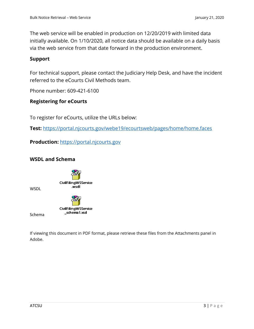The web service will be enabled in production on 12/20/2019 with limited data initially available. On 1/10/2020, all notice data should be available on a daily basis via the web service from that date forward in the production environment.

#### **Support**

For technical support, please contact the Judiciary Help Desk, and have the incident referred to the eCourts Civil Methods team.

Phone number: 609-421-6100

### **Registering for eCourts**

To register for eCourts, utilize the URLs below:

**Test:** https://portal.njcourts.gov/webe19/ecourtsweb/pages/home/home.faces

**Production:** [https://portal.njcourts.gov](https://portal.njcourts.gov/)

### **WSDL and Schema**



**CivilFilingWSService** \_schema1.xsd

Schema

WSDL

If viewing this document in PDF format, please retrieve these files from the Attachments panel in Adobe.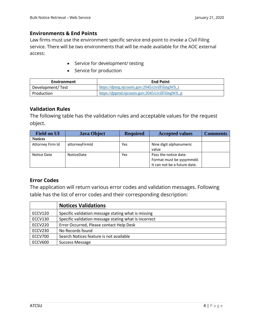#### **Environments & End Points**

Law firms must use the environment specific service end-point to invoke a Civil Filing service. There will be two environments that will be made available for the AOC external access:

- Service for development/ testing
- Service for production

| Environment      | <b>End Point</b>                                 |  |
|------------------|--------------------------------------------------|--|
| Development/Test | https://dptng.njcourts.gov:2045/civilFilingWS t  |  |
| Production       | https://dpprod.njcourts.gov:2045/civilFilingWS_p |  |

#### **Validation Rules**

The following table has the validation rules and acceptable values for the request object.

| <b>Field on UI</b> | <b>Java Object</b> | <b>Required</b> | <b>Accepted values</b>       | Comments |
|--------------------|--------------------|-----------------|------------------------------|----------|
| <b>Notices</b>     |                    |                 |                              |          |
| Attorney Firm Id   | attorneyFirmId     | Yes             | Nine digit alphanumeric      |          |
|                    |                    |                 | value                        |          |
| Notice Date        | <b>NoticeDate</b>  | Yes             | Pass the notice date.        |          |
|                    |                    |                 | Format must be yyyymmdd.     |          |
|                    |                    |                 | It can not be a future date. |          |

#### **Error Codes**

The application will return various error codes and validation messages. Following table has the list of error codes and their corresponding description:

|                | <b>Notices Validations</b>                            |
|----------------|-------------------------------------------------------|
| <b>ECCV120</b> | Specific validation message stating what is missing   |
| <b>ECCV130</b> | Specific validation message stating what is incorrect |
| <b>ECCV220</b> | Error Occurred, Please contact Help Desk              |
| <b>ECCV230</b> | No Records found                                      |
| ECCV700        | Search Notices feature is not available               |
| <b>ECCV600</b> | Success Message                                       |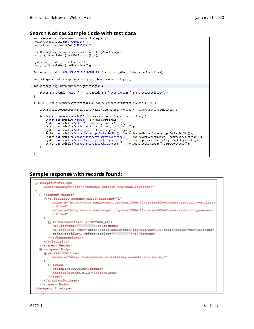#### **Search Notices Sample Code with test data** :



#### **Sample response with records found:**